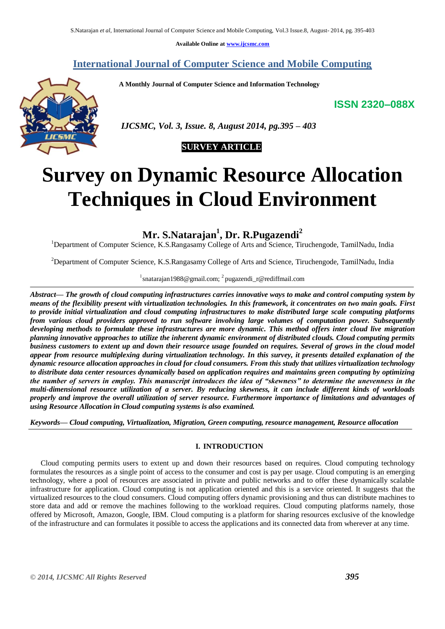**Available Online at www.ijcsmc.com**

## **International Journal of Computer Science and Mobile Computing**

 **A Monthly Journal of Computer Science and Information Technology**

**ISSN 2320–088X**



 *IJCSMC, Vol. 3, Issue. 8, August 2014, pg.395 – 403*



# **Survey on Dynamic Resource Allocation Techniques in Cloud Environment**

**Mr. S.Natarajan<sup>1</sup> , Dr. R.Pugazendi<sup>2</sup>**

<sup>1</sup>Department of Computer Science, K.S.Rangasamy College of Arts and Science, Tiruchengode, TamilNadu, India

<sup>2</sup>Department of Computer Science, K.S.Rangasamy College of Arts and Science, Tiruchengode, TamilNadu, India

<sup>1</sup> snatarajan 1988@gmail.com; <sup>2</sup> pugazendi\_r@rediffmail.com

*Abstract— The growth of cloud computing infrastructures carries innovative ways to make and control computing system by means of the flexibility present with virtualization technologies. In this framework, it concentrates on two main goals. First to provide initial virtualization and cloud computing infrastructures to make distributed large scale computing platforms from various cloud providers approved to run software involving large volumes of computation power. Subsequently developing methods to formulate these infrastructures are more dynamic. This method offers inter cloud live migration planning innovative approaches to utilize the inherent dynamic environment of distributed clouds. Cloud computing permits business customers to extent up and down their resource usage founded on requires. Several of grows in the cloud model appear from resource multiplexing during virtualization technology. In this survey, it presents detailed explanation of the dynamic resource allocation approaches in cloud for cloud consumers. From this study that utilizes virtualization technology to distribute data center resources dynamically based on application requires and maintains green computing by optimizing the number of servers in employ. This manuscript introduces the idea of "skewness" to determine the unevenness in the multi-dimensional resource utilization of a server. By reducing skewness, it can include different kinds of workloads properly and improve the overall utilization of server resource. Furthermore importance of limitations and advantages of using Resource Allocation in Cloud computing systems is also examined.*

*Keywords— Cloud computing, Virtualization, Migration, Green computing, resource management, Resource allocation*

## **I. INTRODUCTION**

Cloud computing permits users to extent up and down their resources based on requires. Cloud computing technology formulates the resources as a single point of access to the consumer and cost is pay per usage. Cloud computing is an emerging technology, where a pool of resources are associated in private and public networks and to offer these dynamically scalable infrastructure for application. Cloud computing is not application oriented and this is a service oriented. It suggests that the virtualized resources to the cloud consumers. Cloud computing offers dynamic provisioning and thus can distribute machines to store data and add or remove the machines following to the workload requires. Cloud computing platforms namely, those offered by Microsoft, Amazon, Google, IBM. Cloud computing is a platform for sharing resources exclusive of the knowledge of the infrastructure and can formulates it possible to access the applications and its connected data from wherever at any time.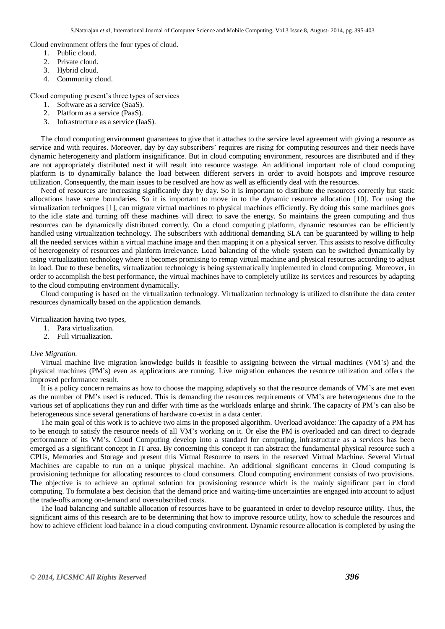Cloud environment offers the four types of cloud.

- 1. Public cloud.
- 2. Private cloud.
- 3. Hybrid cloud.
- 4. Community cloud.

Cloud computing present's three types of services

- 1. Software as a service (SaaS).
- 2. Platform as a service (PaaS).
- 3. Infrastructure as a service (IaaS).

The cloud computing environment guarantees to give that it attaches to the service level agreement with giving a resource as service and with requires. Moreover, day by day subscribers' requires are rising for computing resources and their needs have dynamic heterogeneity and platform insignificance. But in cloud computing environment, resources are distributed and if they are not appropriately distributed next it will result into resource wastage. An additional important role of cloud computing platform is to dynamically balance the load between different servers in order to avoid hotspots and improve resource utilization. Consequently, the main issues to be resolved are how as well as efficiently deal with the resources.

Need of resources are increasing significantly day by day. So it is important to distribute the resources correctly but static allocations have some boundaries. So it is important to move in to the dynamic resource allocation [10]. For using the virtualization techniques [1], can migrate virtual machines to physical machines efficiently. By doing this some machines goes to the idle state and turning off these machines will direct to save the energy. So maintains the green computing and thus resources can be dynamically distributed correctly. On a cloud computing platform, dynamic resources can be efficiently handled using virtualization technology. The subscribers with additional demanding SLA can be guaranteed by willing to help all the needed services within a virtual machine image and then mapping it on a physical server. This assists to resolve difficulty of heterogeneity of resources and platform irrelevance. Load balancing of the whole system can be switched dynamically by using virtualization technology where it becomes promising to remap virtual machine and physical resources according to adjust in load. Due to these benefits, virtualization technology is being systematically implemented in cloud computing. Moreover, in order to accomplish the best performance, the virtual machines have to completely utilize its services and resources by adapting to the cloud computing environment dynamically.

Cloud computing is based on the virtualization technology. Virtualization technology is utilized to distribute the data center resources dynamically based on the application demands.

Virtualization having two types,

- 1. Para virtualization.
- 2. Full virtualization.

#### *Live Migration.*

Virtual machine live migration knowledge builds it feasible to assigning between the virtual machines (VM's) and the physical machines (PM's) even as applications are running. Live migration enhances the resource utilization and offers the improved performance result.

It is a policy concern remains as how to choose the mapping adaptively so that the resource demands of VM's are met even as the number of PM's used is reduced. This is demanding the resources requirements of VM's are heterogeneous due to the various set of applications they run and differ with time as the workloads enlarge and shrink. The capacity of PM's can also be heterogeneous since several generations of hardware co-exist in a data center.

The main goal of this work is to achieve two aims in the proposed algorithm. Overload avoidance: The capacity of a PM has to be enough to satisfy the resource needs of all VM's working on it. Or else the PM is overloaded and can direct to degrade performance of its VM's. Cloud Computing develop into a standard for computing, infrastructure as a services has been emerged as a significant concept in IT area. By concerning this concept it can abstract the fundamental physical resource such a CPUs, Memories and Storage and present this Virtual Resource to users in the reserved Virtual Machine. Several Virtual Machines are capable to run on a unique physical machine. An additional significant concerns in Cloud computing is provisioning technique for allocating resources to cloud consumers. Cloud computing environment consists of two provisions. The objective is to achieve an optimal solution for provisioning resource which is the mainly significant part in cloud computing. To formulate a best decision that the demand price and waiting-time uncertainties are engaged into account to adjust the trade-offs among on-demand and oversubscribed costs.

The load balancing and suitable allocation of resources have to be guaranteed in order to develop resource utility. Thus, the significant aims of this research are to be determining that how to improve resource utility, how to schedule the resources and how to achieve efficient load balance in a cloud computing environment. Dynamic resource allocation is completed by using the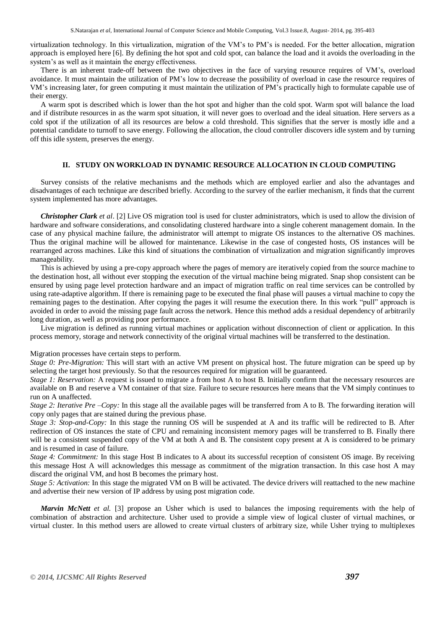virtualization technology. In this virtualization, migration of the VM's to PM's is needed. For the better allocation, migration approach is employed here [6]. By defining the hot spot and cold spot, can balance the load and it avoids the overloading in the system's as well as it maintain the energy effectiveness.

There is an inherent trade-off between the two objectives in the face of varying resource requires of VM's, overload avoidance. It must maintain the utilization of PM's low to decrease the possibility of overload in case the resource requires of VM's increasing later, for green computing it must maintain the utilization of PM's practically high to formulate capable use of their energy

A warm spot is described which is lower than the hot spot and higher than the cold spot. Warm spot will balance the load and if distribute resources in as the warm spot situation, it will never goes to overload and the ideal situation. Here servers as a cold spot if the utilization of all its resources are below a cold threshold. This signifies that the server is mostly idle and a potential candidate to turnoff to save energy. Following the allocation, the cloud controller discovers idle system and by turning off this idle system, preserves the energy.

#### **II. STUDY ON WORKLOAD IN DYNAMIC RESOURCE ALLOCATION IN CLOUD COMPUTING**

Survey consists of the relative mechanisms and the methods which are employed earlier and also the advantages and disadvantages of each technique are described briefly. According to the survey of the earlier mechanism, it finds that the current system implemented has more advantages.

*Christopher Clark et al*. [2] Live OS migration tool is used for cluster administrators, which is used to allow the division of hardware and software considerations, and consolidating clustered hardware into a single coherent management domain. In the case of any physical machine failure, the administrator will attempt to migrate OS instances to the alternative OS machines. Thus the original machine will be allowed for maintenance. Likewise in the case of congested hosts, OS instances will be rearranged across machines. Like this kind of situations the combination of virtualization and migration significantly improves manageability.

This is achieved by using a pre-copy approach where the pages of memory are iteratively copied from the source machine to the destination host, all without ever stopping the execution of the virtual machine being migrated. Snap shop consistent can be ensured by using page level protection hardware and an impact of migration traffic on real time services can be controlled by using rate-adaptive algorithm. If there is remaining page to be executed the final phase will pauses a virtual machine to copy the remaining pages to the destination. After copying the pages it will resume the execution there. In this work "pull" approach is avoided in order to avoid the missing page fault across the network. Hence this method adds a residual dependency of arbitrarily long duration, as well as providing poor performance.

Live migration is defined as running virtual machines or application without disconnection of client or application. In this process memory, storage and network connectivity of the original virtual machines will be transferred to the destination.

#### Migration processes have certain steps to perform.

*Stage 0: Pre-Migration:* This will start with an active VM present on physical host. The future migration can be speed up by selecting the target host previously. So that the resources required for migration will be guaranteed.

*Stage 1: Reservation:* A request is issued to migrate a from host A to host B. Initially confirm that the necessary resources are available on B and reserve a VM container of that size. Failure to secure resources here means that the VM simply continues to run on A unaffected.

*Stage 2: Iterative Pre –Copy:* In this stage all the available pages will be transferred from A to B. The forwarding iteration will copy only pages that are stained during the previous phase.

*Stage 3: Stop-and-Copy:* In this stage the running OS will be suspended at A and its traffic will be redirected to B. After redirection of OS instances the state of CPU and remaining inconsistent memory pages will be transferred to B. Finally there will be a consistent suspended copy of the VM at both A and B. The consistent copy present at A is considered to be primary and is resumed in case of failure.

*Stage 4: Commitment:* In this stage Host B indicates to A about its successful reception of consistent OS image. By receiving this message Host A will acknowledges this message as commitment of the migration transaction. In this case host A may discard the original VM, and host B becomes the primary host.

*Stage 5: Activation:* In this stage the migrated VM on B will be activated. The device drivers will reattached to the new machine and advertise their new version of IP address by using post migration code.

*Marvin McNett et al.* [3] propose an Usher which is used to balances the imposing requirements with the help of combination of abstraction and architecture. Usher used to provide a simple view of logical cluster of virtual machines, or virtual cluster. In this method users are allowed to create virtual clusters of arbitrary size, while Usher trying to multiplexes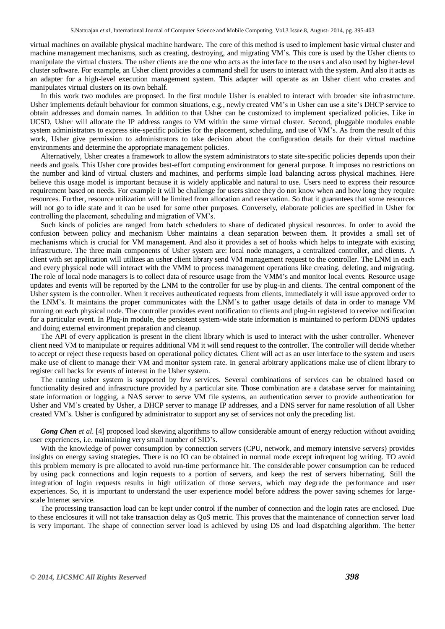virtual machines on available physical machine hardware. The core of this method is used to implement basic virtual cluster and machine management mechanisms, such as creating, destroying, and migrating VM's. This core is used by the Usher clients to manipulate the virtual clusters. The usher clients are the one who acts as the interface to the users and also used by higher-level cluster software. For example, an Usher client provides a command shell for users to interact with the system. And also it acts as an adapter for a high-level execution management system. This adapter will operate as an Usher client who creates and manipulates virtual clusters on its own behalf.

In this work two modules are proposed. In the first module Usher is enabled to interact with broader site infrastructure. Usher implements default behaviour for common situations, e.g., newly created VM's in Usher can use a site's DHCP service to obtain addresses and domain names. In addition to that Usher can be customized to implement specialized policies. Like in UCSD, Usher will allocate the IP address ranges to VM within the same virtual cluster. Second, pluggable modules enable system administrators to express site-specific policies for the placement, scheduling, and use of VM's. As from the result of this work, Usher give permission to administrators to take decision about the configuration details for their virtual machine environments and determine the appropriate management policies.

Alternatively, Usher creates a framework to allow the system administrators to state site-specific policies depends upon their needs and goals. This Usher core provides best-effort computing environment for general purpose. It imposes no restrictions on the number and kind of virtual clusters and machines, and performs simple load balancing across physical machines. Here believe this usage model is important because it is widely applicable and natural to use. Users need to express their resource requirement based on needs. For example it will be challenge for users since they do not know when and how long they require resources. Further, resource utilization will be limited from allocation and reservation. So that it guarantees that some resources will not go to idle state and it can be used for some other purposes. Conversely, elaborate policies are specified in Usher for controlling the placement, scheduling and migration of VM's.

Such kinds of policies are ranged from batch schedulers to share of dedicated physical resources. In order to avoid the confusion between policy and mechanism Usher maintains a clean separation between them. It provides a small set of mechanisms which is crucial for VM management. And also it provides a set of hooks which helps to integrate with existing infrastructure. The three main components of Usher system are: local node managers, a centralized controller, and clients. A client with set application will utilizes an usher client library send VM management request to the controller. The LNM in each and every physical node will interact with the VMM to process management operations like creating, deleting, and migrating. The role of local node managers is to collect data of resource usage from the VMM's and monitor local events. Resource usage updates and events will be reported by the LNM to the controller for use by plug-in and clients. The central component of the Usher system is the controller. When it receives authenticated requests from clients, immediately it will issue approved order to the LNM's. It maintains the proper communicates with the LNM's to gather usage details of data in order to manage VM running on each physical node. The controller provides event notification to clients and plug-in registered to receive notification for a particular event. In Plug-in module, the persistent system-wide state information is maintained to perform DDNS updates and doing external environment preparation and cleanup.

The API of every application is present in the client library which is used to interact with the usher controller. Whenever client need VM to manipulate or requires additional VM it will send request to the controller. The controller will decide whether to accept or reject these requests based on operational policy dictates. Client will act as an user interface to the system and users make use of client to manage their VM and monitor system rate. In general arbitrary applications make use of client library to register call backs for events of interest in the Usher system.

The running usher system is supported by few services. Several combinations of services can be obtained based on functionality desired and infrastructure provided by a particular site. Those combination are a database server for maintaining state information or logging, a NAS server to serve VM file systems, an authentication server to provide authentication for Usher and VM's created by Usher, a DHCP server to manage IP addresses, and a DNS server for name resolution of all Usher created VM's. Usher is configured by administrator to support any set of services not only the preceding list.

*Gong Chen et al*. [4] proposed load skewing algorithms to allow considerable amount of energy reduction without avoiding user experiences, i.e. maintaining very small number of SID's.

With the knowledge of power consumption by connection servers (CPU, network, and memory intensive servers) provides insights on energy saving strategies. There is no IO can be obtained in normal mode except infrequent log writing. TO avoid this problem memory is pre allocated to avoid run-time performance hit. The considerable power consumption can be reduced by using pack connections and login requests to a portion of servers, and keep the rest of servers hibernating. Still the integration of login requests results in high utilization of those servers, which may degrade the performance and user experiences. So, it is important to understand the user experience model before address the power saving schemes for largescale Internet service.

The processing transaction load can be kept under control if the number of connection and the login rates are enclosed. Due to these enclosures it will not take transaction delay as QoS metric. This proves that the maintenance of connection server load is very important. The shape of connection server load is achieved by using DS and load dispatching algorithm. The better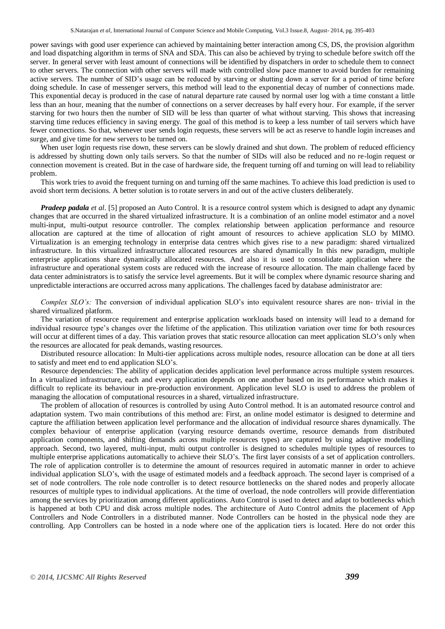power savings with good user experience can achieved by maintaining better interaction among CS, DS, the provision algorithm and load dispatching algorithm in terms of SNA and SDA. This can also be achieved by trying to schedule before switch off the server. In general server with least amount of connections will be identified by dispatchers in order to schedule them to connect to other servers. The connection with other servers will made with controlled slow pace manner to avoid burden for remaining active servers. The number of SID's usage can be reduced by starving or shutting down a server for a period of time before doing schedule. In case of messenger servers, this method will lead to the exponential decay of number of connections made. This exponential decay is produced in the case of natural departure rate caused by normal user log with a time constant a little less than an hour, meaning that the number of connections on a server decreases by half every hour. For example, if the server starving for two hours then the number of SID will be less than quarter of what without starving. This shows that increasing starving time reduces efficiency in saving energy. The goal of this method is to keep a less number of tail servers which have fewer connections. So that, whenever user sends login requests, these servers will be act as reserve to handle login increases and surge, and give time for new servers to be turned on.

When user login requests rise down, these servers can be slowly drained and shut down. The problem of reduced efficiency is addressed by shutting down only tails servers. So that the number of SIDs will also be reduced and no re-login request or connection movement is created. But in the case of hardware side, the frequent turning off and turning on will lead to reliability problem.

This work tries to avoid the frequent turning on and turning off the same machines. To achieve this load prediction is used to avoid short term decisions. A better solution is to rotate servers in and out of the active clusters deliberately.

*Pradeep padala et al.* [5] proposed an Auto Control. It is a resource control system which is designed to adapt any dynamic changes that are occurred in the shared virtualized infrastructure. It is a combination of an online model estimator and a novel multi-input, multi-output resource controller. The complex relationship between application performance and resource allocation are captured at the time of allocation of right amount of resources to achieve application SLO by MIMO. Virtualization is an emerging technology in enterprise data centres which gives rise to a new paradigm: shared virtualized infrastructure. In this virtualized infrastructure allocated resources are shared dynamically In this new paradigm, multiple enterprise applications share dynamically allocated resources. And also it is used to consolidate application where the infrastructure and operational system costs are reduced with the increase of resource allocation. The main challenge faced by data center administrators is to satisfy the service level agreements. But it will be complex where dynamic resource sharing and unpredictable interactions are occurred across many applications. The challenges faced by database administrator are:

*Complex SLO's:* The conversion of individual application SLO's into equivalent resource shares are non- trivial in the shared virtualized platform.

The variation of resource requirement and enterprise application workloads based on intensity will lead to a demand for individual resource type's changes over the lifetime of the application. This utilization variation over time for both resources will occur at different times of a day. This variation proves that static resource allocation can meet application SLO's only when the resources are allocated for peak demands, wasting resources.

Distributed resource allocation: In Multi-tier applications across multiple nodes, resource allocation can be done at all tiers to satisfy and meet end to end application SLO's.

Resource dependencies: The ability of application decides application level performance across multiple system resources. In a virtualized infrastructure, each and every application depends on one another based on its performance which makes it difficult to replicate its behaviour in pre-production environment. Application level SLO is used to address the problem of managing the allocation of computational resources in a shared, virtualized infrastructure.

The problem of allocation of resources is controlled by using Auto Control method. It is an automated resource control and adaptation system. Two main contributions of this method are: First, an online model estimator is designed to determine and capture the affiliation between application level performance and the allocation of individual resource shares dynamically. The complex behaviour of enterprise application (varying resource demands overtime, resource demands from distributed application components, and shifting demands across multiple resources types) are captured by using adaptive modelling approach. Second, two layered, multi-input, multi output controller is designed to schedules multiple types of resources to multiple enterprise applications automatically to achieve their SLO's. The first layer consists of a set of application controllers. The role of application controller is to determine the amount of resources required in automatic manner in order to achieve individual application SLO's, with the usage of estimated models and a feedback approach. The second layer is comprised of a set of node controllers. The role node controller is to detect resource bottlenecks on the shared nodes and properly allocate resources of multiple types to individual applications. At the time of overload, the node controllers will provide differentiation among the services by prioritization among different applications. Auto Control is used to detect and adapt to bottlenecks which is happened at both CPU and disk across multiple nodes. The architecture of Auto Control admits the placement of App Controllers and Node Controllers in a distributed manner. Node Controllers can be hosted in the physical node they are controlling. App Controllers can be hosted in a node where one of the application tiers is located. Here do not order this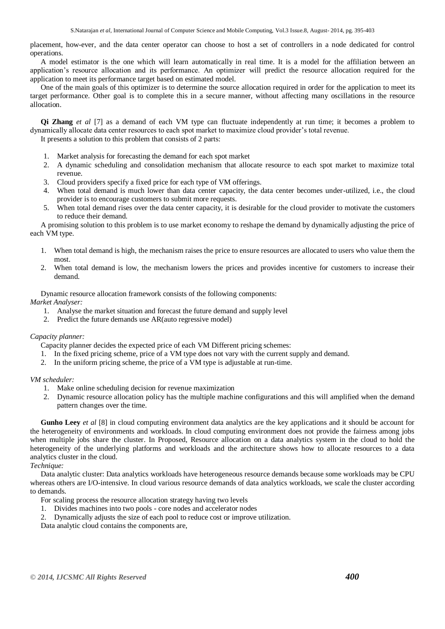placement, how-ever, and the data center operator can choose to host a set of controllers in a node dedicated for control operations.

A model estimator is the one which will learn automatically in real time. It is a model for the affiliation between an application's resource allocation and its performance. An optimizer will predict the resource allocation required for the application to meet its performance target based on estimated model.

One of the main goals of this optimizer is to determine the source allocation required in order for the application to meet its target performance. Other goal is to complete this in a secure manner, without affecting many oscillations in the resource allocation.

**Qi Zhang** *et al* [7] as a demand of each VM type can fluctuate independently at run time; it becomes a problem to dynamically allocate data center resources to each spot market to maximize cloud provider's total revenue.

It presents a solution to this problem that consists of 2 parts:

- 1. Market analysis for forecasting the demand for each spot market
- 2. A dynamic scheduling and consolidation mechanism that allocate resource to each spot market to maximize total revenue.
- 3. Cloud providers specify a fixed price for each type of VM offerings.
- 4. When total demand is much lower than data center capacity, the data center becomes under-utilized, i.e., the cloud provider is to encourage customers to submit more requests.
- 5. When total demand rises over the data center capacity, it is desirable for the cloud provider to motivate the customers to reduce their demand.

A promising solution to this problem is to use market economy to reshape the demand by dynamically adjusting the price of each VM type.

- 1. When total demand is high, the mechanism raises the price to ensure resources are allocated to users who value them the most.
- 2. When total demand is low, the mechanism lowers the prices and provides incentive for customers to increase their demand.

Dynamic resource allocation framework consists of the following components: *Market Analyser:* 

- 1. Analyse the market situation and forecast the future demand and supply level
- 2. Predict the future demands use AR(auto regressive model)

#### *Capacity planner:*

Capacity planner decides the expected price of each VM Different pricing schemes:

- 1. In the fixed pricing scheme, price of a VM type does not vary with the current supply and demand.
- 2. In the uniform pricing scheme, the price of a VM type is adjustable at run-time.

### *VM scheduler:*

- 1. Make online scheduling decision for revenue maximization
- 2. Dynamic resource allocation policy has the multiple machine configurations and this will amplified when the demand pattern changes over the time.

**Gunho Leey** *et al* [8] in cloud computing environment data analytics are the key applications and it should be account for the heterogeneity of environments and workloads. In cloud computing environment does not provide the fairness among jobs when multiple jobs share the cluster. In Proposed, Resource allocation on a data analytics system in the cloud to hold the heterogeneity of the underlying platforms and workloads and the architecture shows how to allocate resources to a data analytics cluster in the cloud.

### *Technique:*

Data analytic cluster: Data analytics workloads have heterogeneous resource demands because some workloads may be CPU whereas others are I/O-intensive. In cloud various resource demands of data analytics workloads, we scale the cluster according to demands.

For scaling process the resource allocation strategy having two levels

- 1. Divides machines into two pools core nodes and accelerator nodes
- 2. Dynamically adjusts the size of each pool to reduce cost or improve utilization.

Data analytic cloud contains the components are,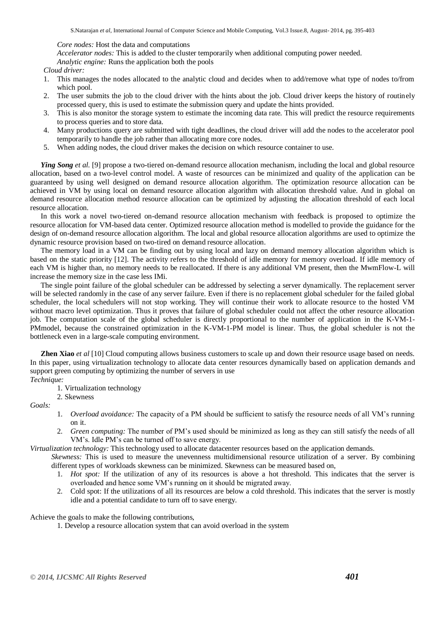*Core nodes:* Host the data and computations

*Accelerator nodes:* This is added to the cluster temporarily when additional computing power needed.

*Analytic engine:* Runs the application both the pools

*Cloud driver:* 

- 1. This manages the nodes allocated to the analytic cloud and decides when to add/remove what type of nodes to/from which pool.
- 2. The user submits the job to the cloud driver with the hints about the job. Cloud driver keeps the history of routinely processed query, this is used to estimate the submission query and update the hints provided.
- 3. This is also monitor the storage system to estimate the incoming data rate. This will predict the resource requirements to process queries and to store data.
- 4. Many productions query are submitted with tight deadlines, the cloud driver will add the nodes to the accelerator pool temporarily to handle the job rather than allocating more core nodes.
- 5. When adding nodes, the cloud driver makes the decision on which resource container to use.

*Ying Song et al.* [9] propose a two-tiered on-demand resource allocation mechanism, including the local and global resource allocation, based on a two-level control model. A waste of resources can be minimized and quality of the application can be guaranteed by using well designed on demand resource allocation algorithm. The optimization resource allocation can be achieved in VM by using local on demand resource allocation algorithm with allocation threshold value. And in global on demand resource allocation method resource allocation can be optimized by adjusting the allocation threshold of each local resource allocation.

In this work a novel two-tiered on-demand resource allocation mechanism with feedback is proposed to optimize the resource allocation for VM-based data center. Optimized resource allocation method is modelled to provide the guidance for the design of on-demand resource allocation algorithm. The local and global resource allocation algorithms are used to optimize the dynamic resource provision based on two-tired on demand resource allocation.

The memory load in a VM can be finding out by using local and lazy on demand memory allocation algorithm which is based on the static priority [12]. The activity refers to the threshold of idle memory for memory overload. If idle memory of each VM is higher than, no memory needs to be reallocated. If there is any additional VM present, then the MwmFlow-L will increase the memory size in the case less IMi.

The single point failure of the global scheduler can be addressed by selecting a server dynamically. The replacement server will be selected randomly in the case of any server failure. Even if there is no replacement global scheduler for the failed global scheduler, the local schedulers will not stop working. They will continue their work to allocate resource to the hosted VM without macro level optimization. Thus it proves that failure of global scheduler could not affect the other resource allocation job. The computation scale of the global scheduler is directly proportional to the number of application in the K-VM-1- PMmodel, because the constrained optimization in the K-VM-1-PM model is linear. Thus, the global scheduler is not the bottleneck even in a large-scale computing environment.

**Zhen Xiao** *et al* [10] Cloud computing allows business customers to scale up and down their resource usage based on needs. In this paper, using virtualization technology to allocate data center resources dynamically based on application demands and support green computing by optimizing the number of servers in use *Technique:* 

- 1. Virtualization technology
- 2. Skewness

*Goals:* 

- 1. *Overload avoidance:* The capacity of a PM should be sufficient to satisfy the resource needs of all VM's running on it.
- 2. *Green computing:* The number of PM's used should be minimized as long as they can still satisfy the needs of all VM's. Idle PM's can be turned off to save energy.

*Virtualization technology:* This technology used to allocate datacenter resources based on the application demands.

*Skewness:* This is used to measure the unevenness multidimensional resource utilization of a server. By combining different types of workloads skewness can be minimized. Skewness can be measured based on,

- 1. *Hot spot:* If the utilization of any of its resources is above a hot threshold. This indicates that the server is overloaded and hence some VM's running on it should be migrated away.
- 2. Cold spot: If the utilizations of all its resources are below a cold threshold. This indicates that the server is mostly idle and a potential candidate to turn off to save energy.

Achieve the goals to make the following contributions,

1. Develop a resource allocation system that can avoid overload in the system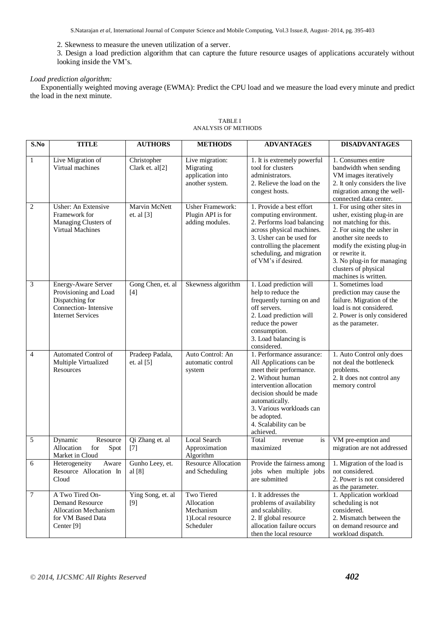S.Natarajan *et al*, International Journal of Computer Science and Mobile Computing, Vol.3 Issue.8, August- 2014, pg. 395-403

2. Skewness to measure the uneven utilization of a server.

3. Design a load prediction algorithm that can capture the future resource usages of applications accurately without looking inside the VM's.

## *Load prediction algorithm:*

Exponentially weighted moving average (EWMA): Predict the CPU load and we measure the load every minute and predict the load in the next minute.

| S.No           | <b>TITLE</b>                                                                                                           | <b>AUTHORS</b>                  | <b>METHODS</b>                                                         | <b>ADVANTAGES</b>                                                                                                                                                                                                                                            | <b>DISADVANTAGES</b>                                                                                                                                                                                                                                                      |
|----------------|------------------------------------------------------------------------------------------------------------------------|---------------------------------|------------------------------------------------------------------------|--------------------------------------------------------------------------------------------------------------------------------------------------------------------------------------------------------------------------------------------------------------|---------------------------------------------------------------------------------------------------------------------------------------------------------------------------------------------------------------------------------------------------------------------------|
| $\mathbf{1}$   | Live Migration of<br>Virtual machines                                                                                  | Christopher<br>Clark et. al[2]  | Live migration:<br>Migrating<br>application into<br>another system.    | 1. It is extremely powerful<br>tool for clusters<br>administrators.<br>2. Relieve the load on the<br>congest hosts.                                                                                                                                          | 1. Consumes entire<br>bandwidth when sending<br>VM images iteratively<br>2. It only considers the live<br>migration among the well-<br>connected data center.                                                                                                             |
| $\overline{2}$ | Usher: An Extensive<br>Framework for<br>Managing Clusters of<br>Virtual Machines                                       | Marvin McNett<br>et. al [3]     | <b>Usher Framework:</b><br>Plugin API is for<br>adding modules.        | 1. Provide a best effort<br>computing environment.<br>2. Performs load balancing<br>across physical machines.<br>3. Usher can be used for<br>controlling the placement<br>scheduling, and migration<br>of VM's if desired.                                   | 1. For using other sites in<br>usher, existing plug-in are<br>not matching for this.<br>2. For using the usher in<br>another site needs to<br>modify the existing plug-in<br>or rewrite it.<br>3. No plug-in for managing<br>clusters of physical<br>machines is written. |
| 3              | Energy-Aware Server<br>Provisioning and Load<br>Dispatching for<br>Connection-Intensive<br><b>Internet Services</b>    | Gong Chen, et. al<br>$[4]$      | Skewness algorithm                                                     | 1. Load prediction will<br>help to reduce the<br>frequently turning on and<br>off servers.<br>2. Load prediction will<br>reduce the power<br>consumption.<br>3. Load balancing is<br>considered.                                                             | 1. Sometimes load<br>prediction may cause the<br>failure. Migration of the<br>load is not considered.<br>2. Power is only considered<br>as the parameter.                                                                                                                 |
| $\overline{4}$ | Automated Control of<br>Multiple Virtualized<br>Resources                                                              | Pradeep Padala,<br>et. al $[5]$ | Auto Control: An<br>automatic control<br>system                        | 1. Performance assurance:<br>All Applications can be<br>meet their performance.<br>2. Without human<br>intervention allocation<br>decision should be made<br>automatically.<br>3. Various workloads can<br>be adopted.<br>4. Scalability can be<br>achieved. | 1. Auto Control only does<br>not deal the bottleneck<br>problems.<br>2. It does not control any<br>memory control                                                                                                                                                         |
| 5              | Resource<br>Dynamic<br>Allocation<br>for<br>Spot<br>Market in Cloud                                                    | Qi Zhang et. al<br>$[7]$        | <b>Local Search</b><br>Approximation<br>Algorithm                      | Total<br>is<br>revenue<br>maximized                                                                                                                                                                                                                          | VM pre-emption and<br>migration are not addressed                                                                                                                                                                                                                         |
| 6              | Heterogeneity<br>Aware<br>Resource Allocation In<br>Cloud                                                              | Gunho Leey, et.<br>al [8]       | <b>Resource Allocation</b><br>and Scheduling                           | Provide the fairness among<br>jobs when multiple jobs<br>are submitted                                                                                                                                                                                       | 1. Migration of the load is<br>not considered.<br>2. Power is not considered<br>as the parameter.                                                                                                                                                                         |
| $\overline{7}$ | A Two Tired On-<br><b>Demand Resource</b><br><b>Allocation Mechanism</b><br>for VM Based Data<br>Center <sup>[9]</sup> | Ying Song, et. al<br>[9]        | Two Tiered<br>Allocation<br>Mechanism<br>1)Local resource<br>Scheduler | 1. It addresses the<br>problems of availability<br>and scalability.<br>2. If global resource<br>allocation failure occurs<br>then the local resource                                                                                                         | 1. Application workload<br>scheduling is not<br>considered.<br>2. Mismatch between the<br>on demand resource and<br>workload dispatch.                                                                                                                                    |

#### TABLE I ANALYSIS OF METHODS